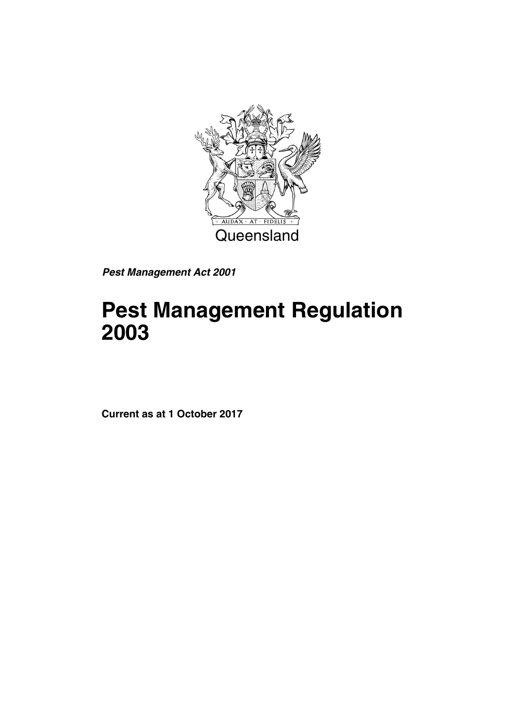

*Pest Management Act 2001*

# **Pest Management Regulation 2003**

**Current as at 1 October 2017**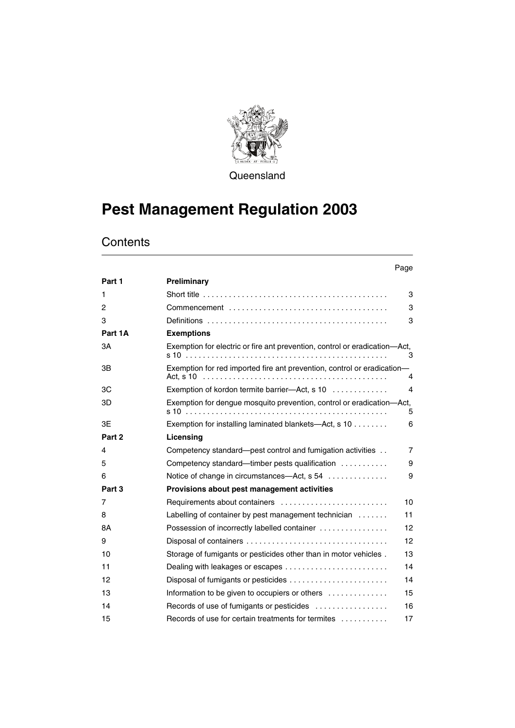

**Queensland** 

# **Pest Management Regulation 2003**

## **Contents**

|         |                                                                                                          | Page           |
|---------|----------------------------------------------------------------------------------------------------------|----------------|
| Part 1  | Preliminary                                                                                              |                |
| 1       | Short title $\ldots \ldots \ldots \ldots \ldots \ldots \ldots \ldots \ldots \ldots \ldots \ldots \ldots$ | 3              |
| 2       |                                                                                                          | 3              |
| 3       |                                                                                                          | 3              |
| Part 1A | <b>Exemptions</b>                                                                                        |                |
| ЗA      | Exemption for electric or fire ant prevention, control or eradication-Act,                               | 3              |
| 3B      | Exemption for red imported fire ant prevention, control or eradication-                                  | 4              |
| 3C      | Exemption of kordon termite barrier-Act, s 10                                                            | 4              |
| 3D      | Exemption for dengue mosquito prevention, control or eradication—Act,                                    | 5              |
| 3E      | Exemption for installing laminated blankets—Act, s 10                                                    | 6              |
| Part 2  | Licensing                                                                                                |                |
| 4       | Competency standard—pest control and fumigation activities                                               | $\overline{7}$ |
| 5       | Competency standard—timber pests qualification                                                           | 9              |
| 6       | Notice of change in circumstances—Act, s 54                                                              | 9              |
| Part 3  | Provisions about pest management activities                                                              |                |
| 7       | Requirements about containers                                                                            | 10             |
| 8       | Labelling of container by pest management technician $\dots\dots$                                        | 11             |
| 8A      | Possession of incorrectly labelled container                                                             | 12             |
| 9       |                                                                                                          | 12             |
| 10      | Storage of fumigants or pesticides other than in motor vehicles.                                         | 13             |
| 11      |                                                                                                          | 14             |
| 12      | Disposal of fumigants or pesticides                                                                      | 14             |
| 13      | Information to be given to occupiers or others                                                           | 15             |
| 14      | Records of use of fumigants or pesticides                                                                | 16             |
| 15      | Records of use for certain treatments for termites                                                       | 17             |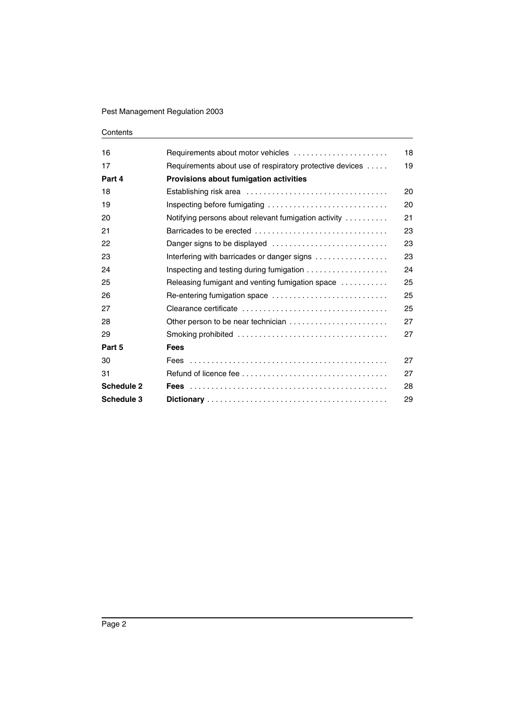#### Contents

| 16                | Requirements about motor vehicles                                             | 18 |
|-------------------|-------------------------------------------------------------------------------|----|
| 17                | Requirements about use of respiratory protective devices                      | 19 |
| Part 4            | Provisions about fumigation activities                                        |    |
| 18                |                                                                               | 20 |
| 19                |                                                                               | 20 |
| 20                | Notifying persons about relevant fumigation activity                          | 21 |
| 21                | Barricades to be erected                                                      | 23 |
| 22                |                                                                               | 23 |
| 23                | Interfering with barricades or danger signs                                   | 23 |
| 24                | Inspecting and testing during fumigation $\ldots \ldots \ldots \ldots \ldots$ | 24 |
| 25                | Releasing fumigant and venting fumigation space                               | 25 |
| 26                | Re-entering fumigation space                                                  | 25 |
| 27                |                                                                               | 25 |
| 28                | Other person to be near technician                                            | 27 |
| 29                |                                                                               | 27 |
| Part 5            | <b>Fees</b>                                                                   |    |
| 30                |                                                                               | 27 |
| 31                |                                                                               | 27 |
| Schedule 2        |                                                                               | 28 |
| <b>Schedule 3</b> |                                                                               | 29 |
|                   |                                                                               |    |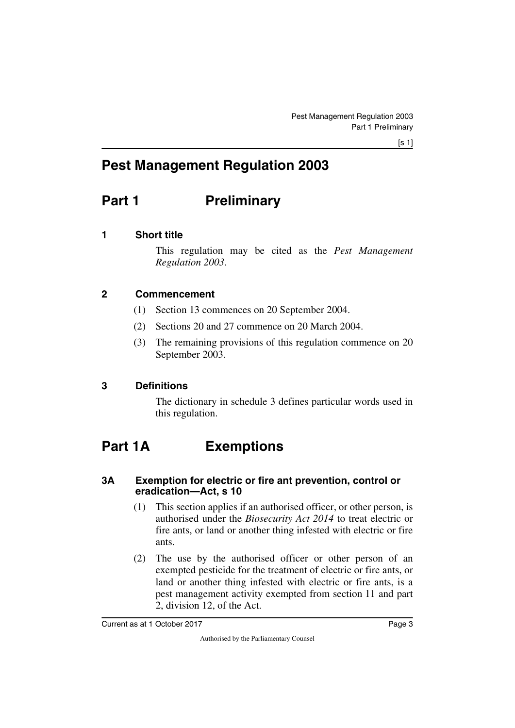$[s 1]$ 

## **Pest Management Regulation 2003**

## <span id="page-4-0"></span>**Part 1** Preliminary

## <span id="page-4-2"></span>**1 Short title**

<span id="page-4-3"></span><span id="page-4-1"></span>This regulation may be cited as the *Pest Management Regulation 2003*.

## <span id="page-4-4"></span>**2 Commencement**

- <span id="page-4-5"></span>(1) Section 13 commences on 20 September 2004.
- (2) Sections 20 and 27 commence on 20 March 2004.
- (3) The remaining provisions of this regulation commence on 20 September 2003.

## <span id="page-4-6"></span>**3 Definitions**

<span id="page-4-9"></span><span id="page-4-7"></span>The dictionary in schedule 3 defines particular words used in this regulation.

## <span id="page-4-8"></span>**Part 1A Exemptions**

## <span id="page-4-11"></span><span id="page-4-10"></span>**3A Exemption for electric or fire ant prevention, control or eradication—Act, s 10**

- (1) This section applies if an authorised officer, or other person, is authorised under the *Biosecurity Act 2014* to treat electric or fire ants, or land or another thing infested with electric or fire ants.
- (2) The use by the authorised officer or other person of an exempted pesticide for the treatment of electric or fire ants, or land or another thing infested with electric or fire ants, is a pest management activity exempted from section 11 and part 2, division 12, of the Act.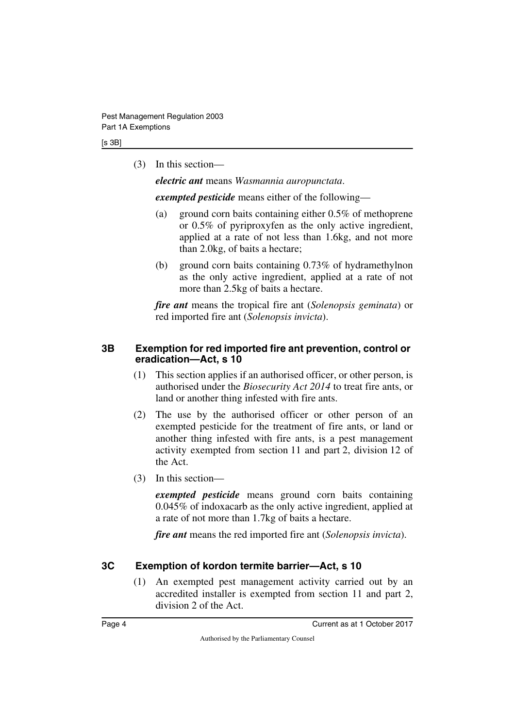(3) In this section—

*electric ant* means *Wasmannia auropunctata*.

*exempted pesticide* means either of the following—

- (a) ground corn baits containing either 0.5% of methoprene or 0.5% of pyriproxyfen as the only active ingredient, applied at a rate of not less than 1.6kg, and not more than 2.0kg, of baits a hectare;
- (b) ground corn baits containing 0.73% of hydramethylnon as the only active ingredient, applied at a rate of not more than 2.5kg of baits a hectare.

*fire ant* means the tropical fire ant (*Solenopsis geminata*) or red imported fire ant (*Solenopsis invicta*).

## <span id="page-5-1"></span><span id="page-5-0"></span>**3B Exemption for red imported fire ant prevention, control or eradication—Act, s 10**

- (1) This section applies if an authorised officer, or other person, is authorised under the *Biosecurity Act 2014* to treat fire ants, or land or another thing infested with fire ants.
- (2) The use by the authorised officer or other person of an exempted pesticide for the treatment of fire ants, or land or another thing infested with fire ants, is a pest management activity exempted from section 11 and part 2, division 12 of the Act.
- (3) In this section—

*exempted pesticide* means ground corn baits containing 0.045% of indoxacarb as the only active ingredient, applied at a rate of not more than 1.7kg of baits a hectare.

*fire ant* means the red imported fire ant (*Solenopsis invicta*).

## <span id="page-5-2"></span>**3C Exemption of kordon termite barrier—Act, s 10**

<span id="page-5-3"></span>(1) An exempted pest management activity carried out by an accredited installer is exempted from section 11 and part 2, division 2 of the Act.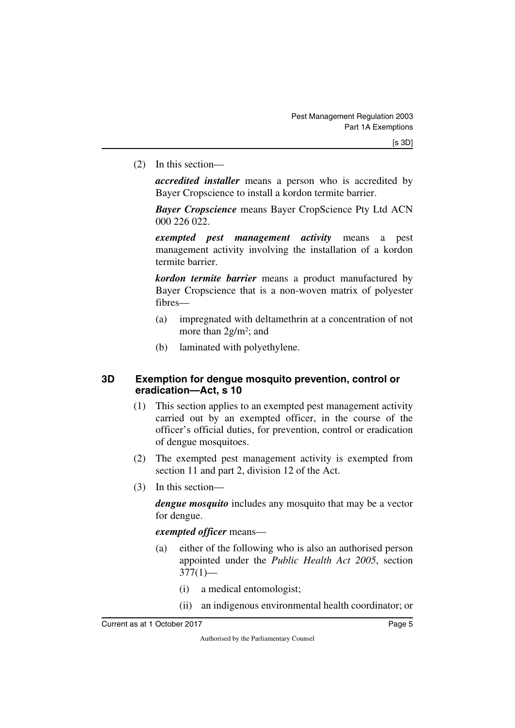(2) In this section—

*accredited installer* means a person who is accredited by Bayer Cropscience to install a kordon termite barrier.

*Bayer Cropscience* means Bayer CropScience Pty Ltd ACN 000 226 022.

*exempted pest management activity* means a pest management activity involving the installation of a kordon termite barrier.

*kordon termite barrier* means a product manufactured by Bayer Cropscience that is a non-woven matrix of polyester fibres—

- (a) impregnated with deltamethrin at a concentration of not more than 2g/m2; and
- <span id="page-6-1"></span>(b) laminated with polyethylene.

## <span id="page-6-0"></span>**3D Exemption for dengue mosquito prevention, control or eradication—Act, s 10**

- (1) This section applies to an exempted pest management activity carried out by an exempted officer, in the course of the officer's official duties, for prevention, control or eradication of dengue mosquitoes.
- (2) The exempted pest management activity is exempted from section 11 and part 2, division 12 of the Act.
- (3) In this section—

*dengue mosquito* includes any mosquito that may be a vector for dengue.

*exempted officer* means—

- (a) either of the following who is also an authorised person appointed under the *Public Health Act 2005*, section  $377(1)$ —
	- (i) a medical entomologist;
	- (ii) an indigenous environmental health coordinator; or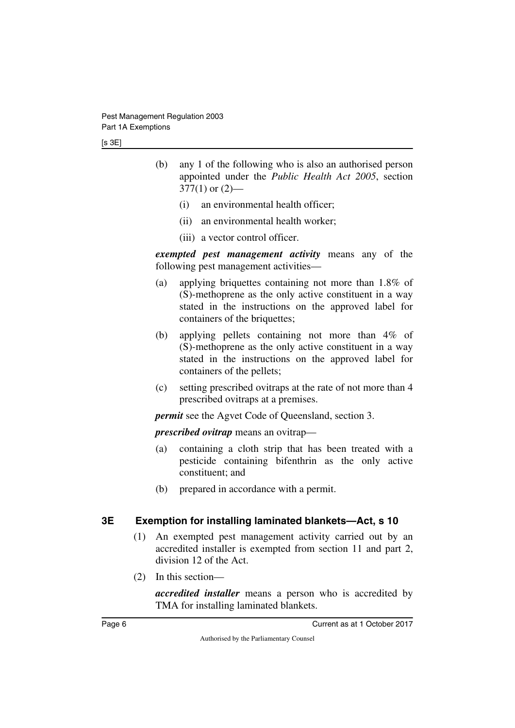[s 3E]

- (b) any 1 of the following who is also an authorised person appointed under the *Public Health Act 2005*, section  $377(1)$  or  $(2)$ —
	- (i) an environmental health officer;
	- (ii) an environmental health worker;
	- (iii) a vector control officer.

*exempted pest management activity* means any of the following pest management activities—

- (a) applying briquettes containing not more than 1.8% of (S)-methoprene as the only active constituent in a way stated in the instructions on the approved label for containers of the briquettes;
- (b) applying pellets containing not more than 4% of (S)-methoprene as the only active constituent in a way stated in the instructions on the approved label for containers of the pellets;
- (c) setting prescribed ovitraps at the rate of not more than 4 prescribed ovitraps at a premises.

*permit* see the Agvet Code of Queensland, section 3.

*prescribed ovitrap* means an ovitrap—

- (a) containing a cloth strip that has been treated with a pesticide containing bifenthrin as the only active constituent; and
- (b) prepared in accordance with a permit.

## <span id="page-7-0"></span>**3E Exemption for installing laminated blankets—Act, s 10**

- <span id="page-7-1"></span>(1) An exempted pest management activity carried out by an accredited installer is exempted from section 11 and part 2, division 12 of the Act.
- (2) In this section—

*accredited installer* means a person who is accredited by TMA for installing laminated blankets.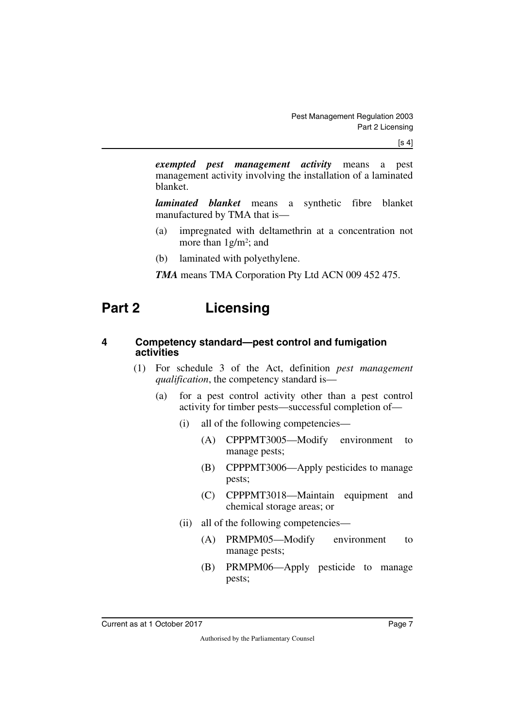$[s 4]$ 

*exempted pest management activity* means a pest management activity involving the installation of a laminated blanket.

*laminated blanket* means a synthetic fibre blanket manufactured by TMA that is—

- (a) impregnated with deltamethrin at a concentration not more than 1g/m2; and
- (b) laminated with polyethylene.
- <span id="page-8-1"></span>*TMA* means TMA Corporation Pty Ltd ACN 009 452 475.

## <span id="page-8-0"></span>**Part 2 Licensing**

### <span id="page-8-3"></span><span id="page-8-2"></span>**4 Competency standard—pest control and fumigation activities**

- (1) For schedule 3 of the Act, definition *pest management qualification*, the competency standard is—
	- (a) for a pest control activity other than a pest control activity for timber pests—successful completion of—
		- (i) all of the following competencies—
			- (A) CPPPMT3005—Modify environment to manage pests;
			- (B) CPPPMT3006—Apply pesticides to manage pests;
			- (C) CPPPMT3018—Maintain equipment and chemical storage areas; or
		- (ii) all of the following competencies—
			- (A) PRMPM05—Modify environment to manage pests;
			- (B) PRMPM06—Apply pesticide to manage pests;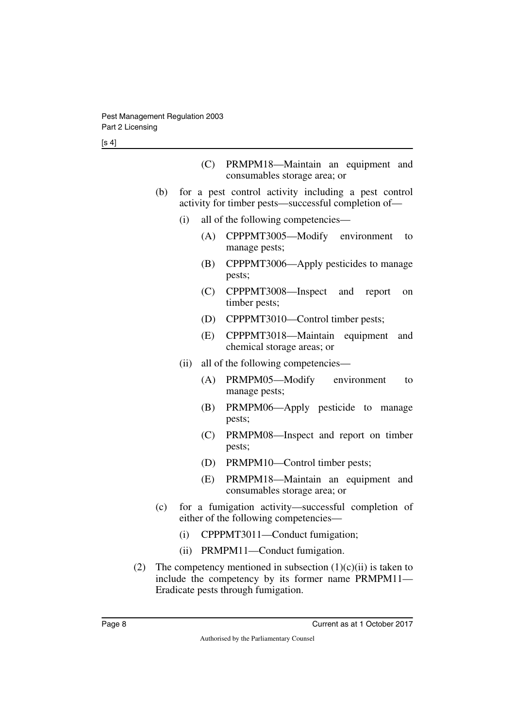| (C) PRMPM18—Maintain an equipment and |  |  |
|---------------------------------------|--|--|
| consumables storage area; or          |  |  |

- (b) for a pest control activity including a pest control activity for timber pests—successful completion of—
	- (i) all of the following competencies—
		- (A) CPPPMT3005—Modify environment to manage pests;
		- (B) CPPPMT3006—Apply pesticides to manage pests;
		- (C) CPPPMT3008—Inspect and report on timber pests;
		- (D) CPPPMT3010—Control timber pests;
		- (E) CPPPMT3018—Maintain equipment and chemical storage areas; or
	- (ii) all of the following competencies—
		- (A) PRMPM05—Modify environment to manage pests;
		- (B) PRMPM06—Apply pesticide to manage pests;
		- (C) PRMPM08—Inspect and report on timber pests;
		- (D) PRMPM10—Control timber pests;
		- (E) PRMPM18—Maintain an equipment and consumables storage area; or
- (c) for a fumigation activity—successful completion of either of the following competencies—
	- (i) CPPPMT3011—Conduct fumigation;
	- (ii) PRMPM11—Conduct fumigation.
- (2) The competency mentioned in subsection  $(1)(c)(ii)$  is taken to include the competency by its former name PRMPM11— Eradicate pests through fumigation.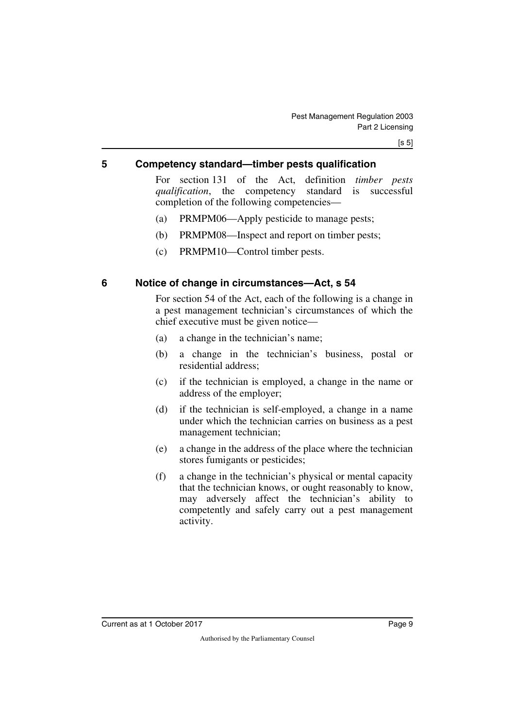### <span id="page-10-0"></span>**5 Competency standard—timber pests qualification**

<span id="page-10-1"></span>For section 131 of the Act, definition *timber pests qualification*, the competency standard is successful completion of the following competencies—

- (a) PRMPM06—Apply pesticide to manage pests;
- (b) PRMPM08—Inspect and report on timber pests;
- <span id="page-10-3"></span>(c) PRMPM10—Control timber pests.

### <span id="page-10-2"></span>**6 Notice of change in circumstances—Act, s 54**

For section 54 of the Act, each of the following is a change in a pest management technician's circumstances of which the chief executive must be given notice—

- (a) a change in the technician's name;
- (b) a change in the technician's business, postal or residential address;
- (c) if the technician is employed, a change in the name or address of the employer;
- (d) if the technician is self-employed, a change in a name under which the technician carries on business as a pest management technician;
- (e) a change in the address of the place where the technician stores fumigants or pesticides;
- (f) a change in the technician's physical or mental capacity that the technician knows, or ought reasonably to know, may adversely affect the technician's ability to competently and safely carry out a pest management activity.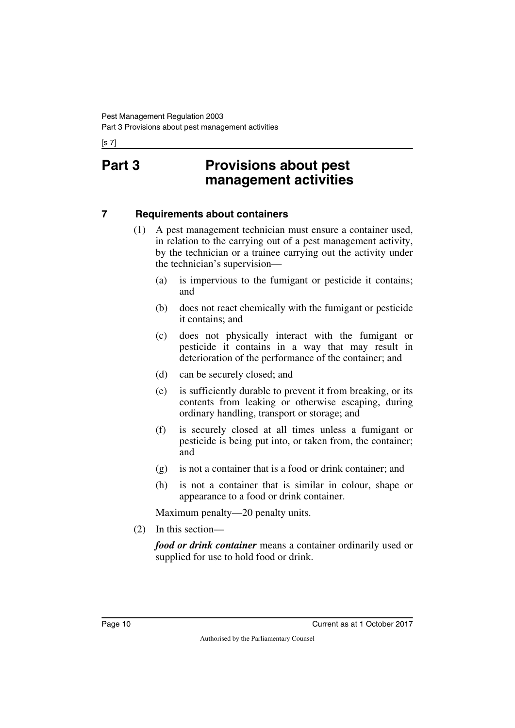<span id="page-11-1"></span><span id="page-11-0"></span>[s 7]

## **Part 3 Provisions about pest management activities**

## <span id="page-11-2"></span>**7 Requirements about containers**

- <span id="page-11-3"></span>(1) A pest management technician must ensure a container used, in relation to the carrying out of a pest management activity, by the technician or a trainee carrying out the activity under the technician's supervision—
	- (a) is impervious to the fumigant or pesticide it contains; and
	- (b) does not react chemically with the fumigant or pesticide it contains; and
	- (c) does not physically interact with the fumigant or pesticide it contains in a way that may result in deterioration of the performance of the container; and
	- (d) can be securely closed; and
	- (e) is sufficiently durable to prevent it from breaking, or its contents from leaking or otherwise escaping, during ordinary handling, transport or storage; and
	- (f) is securely closed at all times unless a fumigant or pesticide is being put into, or taken from, the container; and
	- (g) is not a container that is a food or drink container; and
	- (h) is not a container that is similar in colour, shape or appearance to a food or drink container.

Maximum penalty—20 penalty units.

(2) In this section—

*food or drink container* means a container ordinarily used or supplied for use to hold food or drink.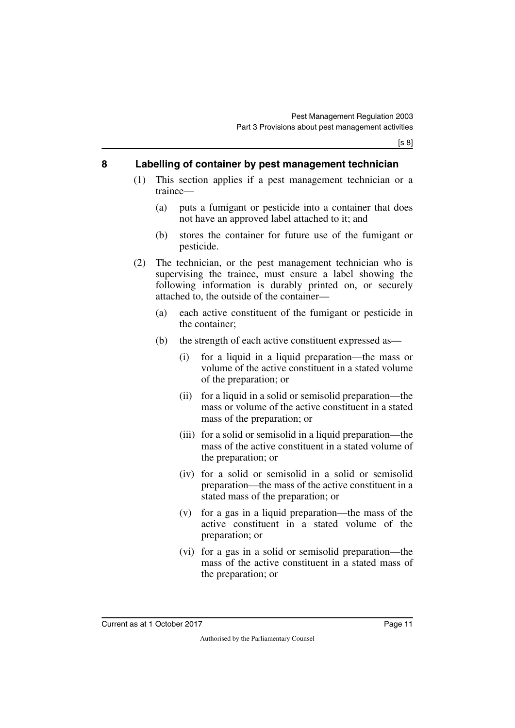### <span id="page-12-0"></span>**8 Labelling of container by pest management technician**

- <span id="page-12-1"></span>(1) This section applies if a pest management technician or a trainee—
	- (a) puts a fumigant or pesticide into a container that does not have an approved label attached to it; and
	- (b) stores the container for future use of the fumigant or pesticide.
- (2) The technician, or the pest management technician who is supervising the trainee, must ensure a label showing the following information is durably printed on, or securely attached to, the outside of the container—
	- (a) each active constituent of the fumigant or pesticide in the container;
	- (b) the strength of each active constituent expressed as—
		- (i) for a liquid in a liquid preparation—the mass or volume of the active constituent in a stated volume of the preparation; or
		- (ii) for a liquid in a solid or semisolid preparation—the mass or volume of the active constituent in a stated mass of the preparation; or
		- (iii) for a solid or semisolid in a liquid preparation—the mass of the active constituent in a stated volume of the preparation; or
		- (iv) for a solid or semisolid in a solid or semisolid preparation—the mass of the active constituent in a stated mass of the preparation; or
		- (v) for a gas in a liquid preparation—the mass of the active constituent in a stated volume of the preparation; or
		- (vi) for a gas in a solid or semisolid preparation—the mass of the active constituent in a stated mass of the preparation; or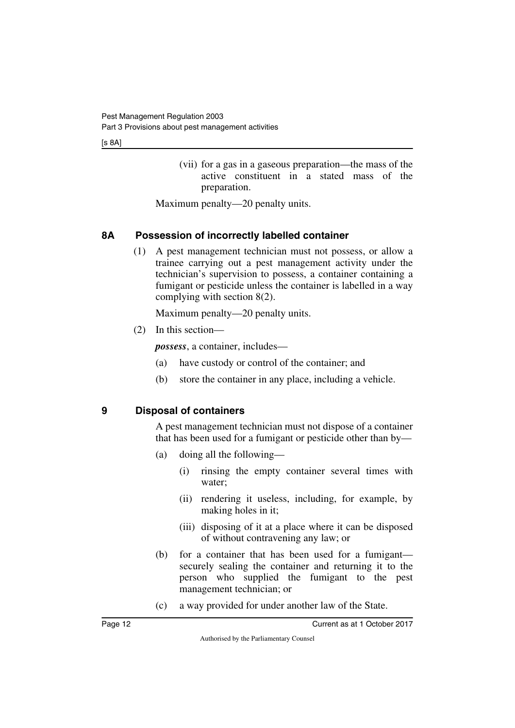(vii) for a gas in a gaseous preparation—the mass of the active constituent in a stated mass of the preparation.

Maximum penalty—20 penalty units.

## <span id="page-13-0"></span>**8A Possession of incorrectly labelled container**

<span id="page-13-1"></span>(1) A pest management technician must not possess, or allow a trainee carrying out a pest management activity under the technician's supervision to possess, a container containing a fumigant or pesticide unless the container is labelled in a way complying with section 8(2).

Maximum penalty—20 penalty units.

(2) In this section—

*possess*, a container, includes—

- (a) have custody or control of the container; and
- (b) store the container in any place, including a vehicle.

## <span id="page-13-2"></span>**9 Disposal of containers**

<span id="page-13-3"></span>A pest management technician must not dispose of a container that has been used for a fumigant or pesticide other than by—

- (a) doing all the following—
	- (i) rinsing the empty container several times with water;
	- (ii) rendering it useless, including, for example, by making holes in it;
	- (iii) disposing of it at a place where it can be disposed of without contravening any law; or
- (b) for a container that has been used for a fumigant securely sealing the container and returning it to the person who supplied the fumigant to the pest management technician; or
- (c) a way provided for under another law of the State.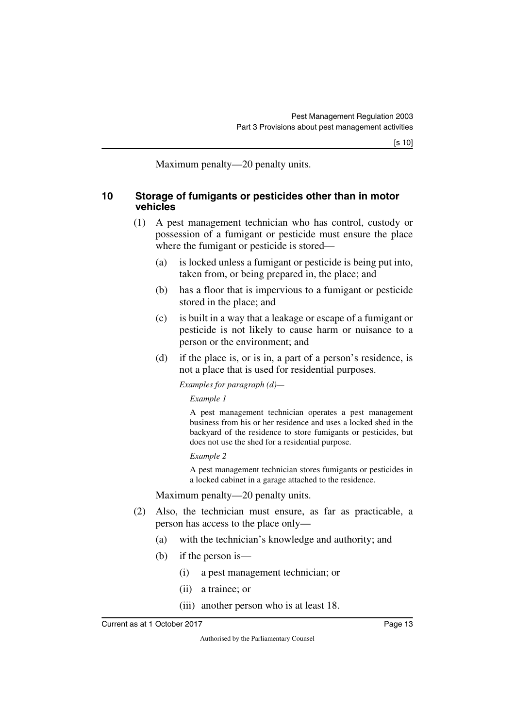<span id="page-14-1"></span>Maximum penalty—20 penalty units.

### <span id="page-14-0"></span>**10 Storage of fumigants or pesticides other than in motor vehicles**

- (1) A pest management technician who has control, custody or possession of a fumigant or pesticide must ensure the place where the fumigant or pesticide is stored—
	- (a) is locked unless a fumigant or pesticide is being put into, taken from, or being prepared in, the place; and
	- (b) has a floor that is impervious to a fumigant or pesticide stored in the place; and
	- (c) is built in a way that a leakage or escape of a fumigant or pesticide is not likely to cause harm or nuisance to a person or the environment; and
	- (d) if the place is, or is in, a part of a person's residence, is not a place that is used for residential purposes.

*Examples for paragraph (d)—*

*Example 1*

A pest management technician operates a pest management business from his or her residence and uses a locked shed in the backyard of the residence to store fumigants or pesticides, but does not use the shed for a residential purpose.

*Example 2*

A pest management technician stores fumigants or pesticides in a locked cabinet in a garage attached to the residence.

Maximum penalty—20 penalty units.

- (2) Also, the technician must ensure, as far as practicable, a person has access to the place only—
	- (a) with the technician's knowledge and authority; and
	- (b) if the person is—
		- (i) a pest management technician; or
		- (ii) a trainee; or
		- (iii) another person who is at least 18.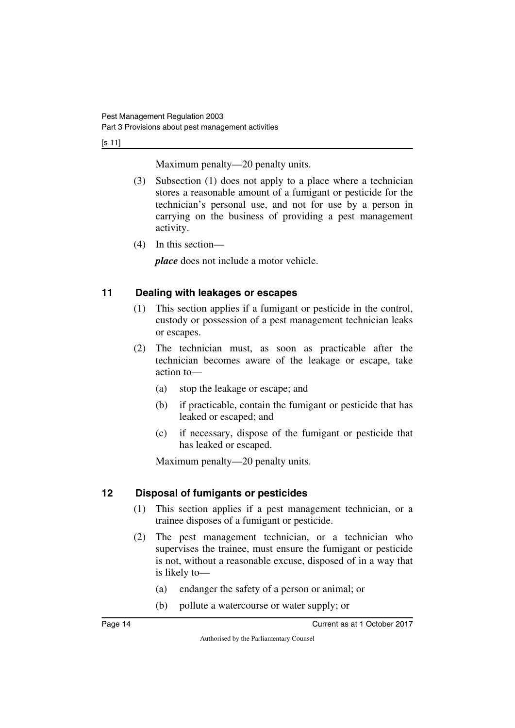[s 11]

Maximum penalty—20 penalty units.

- (3) Subsection (1) does not apply to a place where a technician stores a reasonable amount of a fumigant or pesticide for the technician's personal use, and not for use by a person in carrying on the business of providing a pest management activity.
- (4) In this section—

*place* does not include a motor vehicle.

## <span id="page-15-0"></span>**11 Dealing with leakages or escapes**

- <span id="page-15-1"></span>(1) This section applies if a fumigant or pesticide in the control, custody or possession of a pest management technician leaks or escapes.
- (2) The technician must, as soon as practicable after the technician becomes aware of the leakage or escape, take action to—
	- (a) stop the leakage or escape; and
	- (b) if practicable, contain the fumigant or pesticide that has leaked or escaped; and
	- (c) if necessary, dispose of the fumigant or pesticide that has leaked or escaped.

Maximum penalty—20 penalty units.

## <span id="page-15-2"></span>**12 Disposal of fumigants or pesticides**

- <span id="page-15-3"></span>(1) This section applies if a pest management technician, or a trainee disposes of a fumigant or pesticide.
- (2) The pest management technician, or a technician who supervises the trainee, must ensure the fumigant or pesticide is not, without a reasonable excuse, disposed of in a way that is likely to—
	- (a) endanger the safety of a person or animal; or
	- (b) pollute a watercourse or water supply; or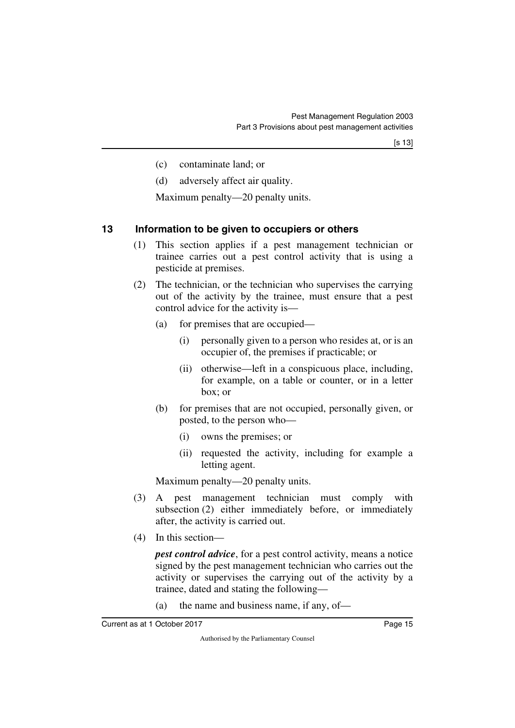- (c) contaminate land; or
- (d) adversely affect air quality.

Maximum penalty—20 penalty units.

## <span id="page-16-0"></span>**13 Information to be given to occupiers or others**

- <span id="page-16-1"></span>(1) This section applies if a pest management technician or trainee carries out a pest control activity that is using a pesticide at premises.
- (2) The technician, or the technician who supervises the carrying out of the activity by the trainee, must ensure that a pest control advice for the activity is—
	- (a) for premises that are occupied—
		- (i) personally given to a person who resides at, or is an occupier of, the premises if practicable; or
		- (ii) otherwise—left in a conspicuous place, including, for example, on a table or counter, or in a letter box; or
	- (b) for premises that are not occupied, personally given, or posted, to the person who—
		- (i) owns the premises; or
		- (ii) requested the activity, including for example a letting agent.

Maximum penalty—20 penalty units.

- (3) A pest management technician must comply with subsection (2) either immediately before, or immediately after, the activity is carried out.
- (4) In this section—

*pest control advice*, for a pest control activity, means a notice signed by the pest management technician who carries out the activity or supervises the carrying out of the activity by a trainee, dated and stating the following—

(a) the name and business name, if any, of—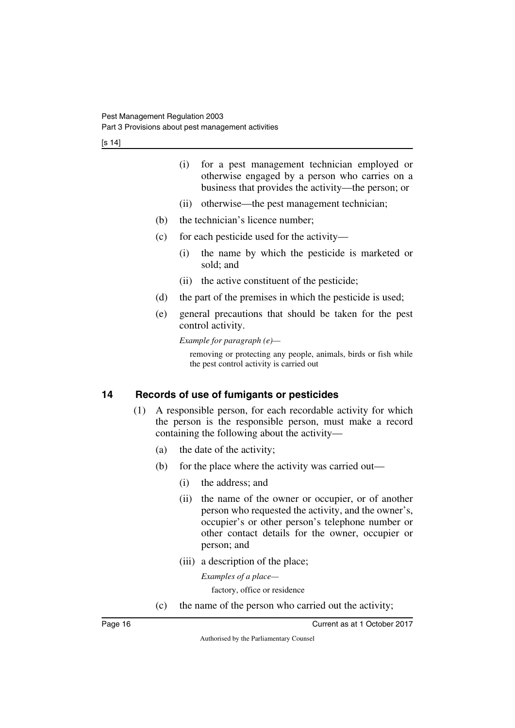- (i) for a pest management technician employed or otherwise engaged by a person who carries on a business that provides the activity—the person; or
- (ii) otherwise—the pest management technician;
- (b) the technician's licence number;
- (c) for each pesticide used for the activity—
	- (i) the name by which the pesticide is marketed or sold; and
	- (ii) the active constituent of the pesticide;
- (d) the part of the premises in which the pesticide is used;
- (e) general precautions that should be taken for the pest control activity.

*Example for paragraph (e)—*

removing or protecting any people, animals, birds or fish while the pest control activity is carried out

## <span id="page-17-0"></span>**14 Records of use of fumigants or pesticides**

- <span id="page-17-1"></span>(1) A responsible person, for each recordable activity for which the person is the responsible person, must make a record containing the following about the activity—
	- (a) the date of the activity;
	- (b) for the place where the activity was carried out—
		- (i) the address; and
		- (ii) the name of the owner or occupier, or of another person who requested the activity, and the owner's, occupier's or other person's telephone number or other contact details for the owner, occupier or person; and
		- (iii) a description of the place;

*Examples of a place—*

factory, office or residence

(c) the name of the person who carried out the activity;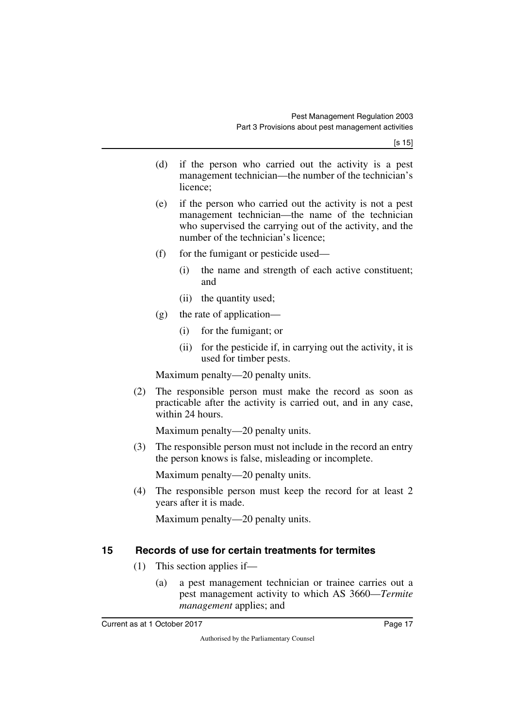[s 15]

- (d) if the person who carried out the activity is a pest management technician—the number of the technician's licence;
- (e) if the person who carried out the activity is not a pest management technician—the name of the technician who supervised the carrying out of the activity, and the number of the technician's licence;
- (f) for the fumigant or pesticide used—
	- (i) the name and strength of each active constituent; and
	- (ii) the quantity used;
- (g) the rate of application—
	- (i) for the fumigant; or
	- (ii) for the pesticide if, in carrying out the activity, it is used for timber pests.

Maximum penalty—20 penalty units.

(2) The responsible person must make the record as soon as practicable after the activity is carried out, and in any case, within 24 hours.

Maximum penalty—20 penalty units.

(3) The responsible person must not include in the record an entry the person knows is false, misleading or incomplete.

Maximum penalty—20 penalty units.

(4) The responsible person must keep the record for at least 2 years after it is made.

Maximum penalty—20 penalty units.

## <span id="page-18-0"></span>**15 Records of use for certain treatments for termites**

- <span id="page-18-1"></span>(1) This section applies if—
	- (a) a pest management technician or trainee carries out a pest management activity to which AS 3660—*Termite management* applies; and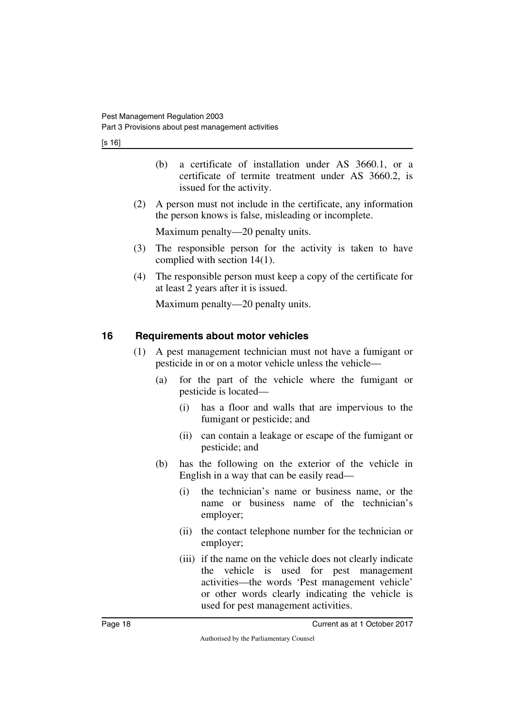[s 16]

- (b) a certificate of installation under AS 3660.1, or a certificate of termite treatment under AS 3660.2, is issued for the activity.
- (2) A person must not include in the certificate, any information the person knows is false, misleading or incomplete.

Maximum penalty—20 penalty units.

- (3) The responsible person for the activity is taken to have complied with section 14(1).
- (4) The responsible person must keep a copy of the certificate for at least 2 years after it is issued.

Maximum penalty—20 penalty units.

## <span id="page-19-0"></span>**16 Requirements about motor vehicles**

- <span id="page-19-1"></span>(1) A pest management technician must not have a fumigant or pesticide in or on a motor vehicle unless the vehicle—
	- (a) for the part of the vehicle where the fumigant or pesticide is located—
		- (i) has a floor and walls that are impervious to the fumigant or pesticide; and
		- (ii) can contain a leakage or escape of the fumigant or pesticide; and
	- (b) has the following on the exterior of the vehicle in English in a way that can be easily read—
		- (i) the technician's name or business name, or the name or business name of the technician's employer;
		- (ii) the contact telephone number for the technician or employer;
		- (iii) if the name on the vehicle does not clearly indicate the vehicle is used for pest management activities—the words 'Pest management vehicle' or other words clearly indicating the vehicle is used for pest management activities.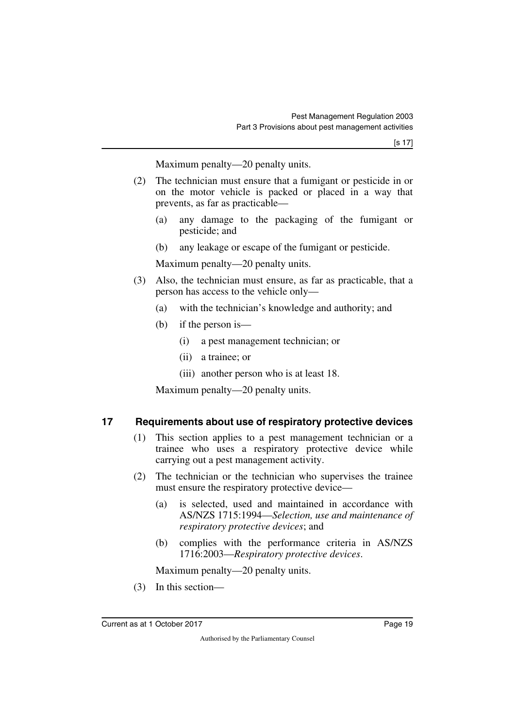Maximum penalty—20 penalty units.

- (2) The technician must ensure that a fumigant or pesticide in or on the motor vehicle is packed or placed in a way that prevents, as far as practicable—
	- (a) any damage to the packaging of the fumigant or pesticide; and
	- (b) any leakage or escape of the fumigant or pesticide.

Maximum penalty—20 penalty units.

- (3) Also, the technician must ensure, as far as practicable, that a person has access to the vehicle only—
	- (a) with the technician's knowledge and authority; and
	- (b) if the person is—
		- (i) a pest management technician; or
		- (ii) a trainee; or
		- (iii) another person who is at least 18.

Maximum penalty—20 penalty units.

### <span id="page-20-0"></span>**17 Requirements about use of respiratory protective devices**

- <span id="page-20-1"></span>(1) This section applies to a pest management technician or a trainee who uses a respiratory protective device while carrying out a pest management activity.
- (2) The technician or the technician who supervises the trainee must ensure the respiratory protective device—
	- (a) is selected, used and maintained in accordance with AS/NZS 1715:1994—*Selection, use and maintenance of respiratory protective devices*; and
	- (b) complies with the performance criteria in AS/NZS 1716:2003—*Respiratory protective devices*.

Maximum penalty—20 penalty units.

(3) In this section—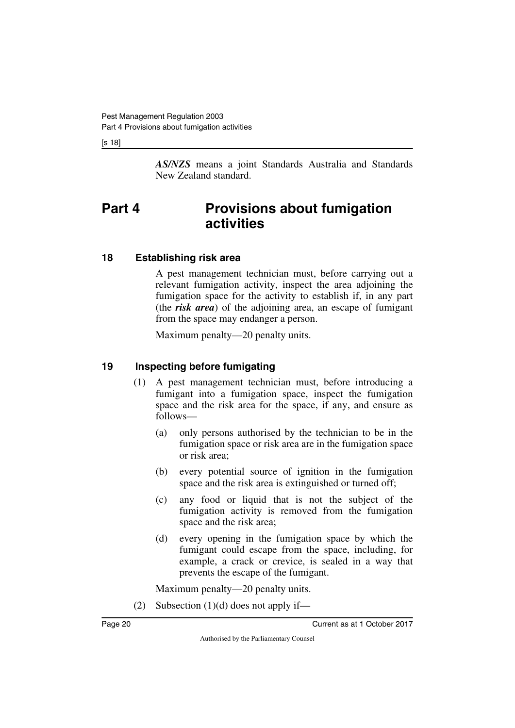[s 18]

<span id="page-21-1"></span>*AS/NZS* means a joint Standards Australia and Standards New Zealand standard.

## <span id="page-21-0"></span>**Part 4 Provisions about fumigation activities**

## <span id="page-21-2"></span>**18 Establishing risk area**

<span id="page-21-3"></span>A pest management technician must, before carrying out a relevant fumigation activity, inspect the area adjoining the fumigation space for the activity to establish if, in any part (the *risk area*) of the adjoining area, an escape of fumigant from the space may endanger a person.

Maximum penalty—20 penalty units.

## <span id="page-21-4"></span>**19 Inspecting before fumigating**

- <span id="page-21-5"></span>(1) A pest management technician must, before introducing a fumigant into a fumigation space, inspect the fumigation space and the risk area for the space, if any, and ensure as follows—
	- (a) only persons authorised by the technician to be in the fumigation space or risk area are in the fumigation space or risk area;
	- (b) every potential source of ignition in the fumigation space and the risk area is extinguished or turned off;
	- (c) any food or liquid that is not the subject of the fumigation activity is removed from the fumigation space and the risk area;
	- (d) every opening in the fumigation space by which the fumigant could escape from the space, including, for example, a crack or crevice, is sealed in a way that prevents the escape of the fumigant.

Maximum penalty—20 penalty units.

(2) Subsection  $(1)(d)$  does not apply if—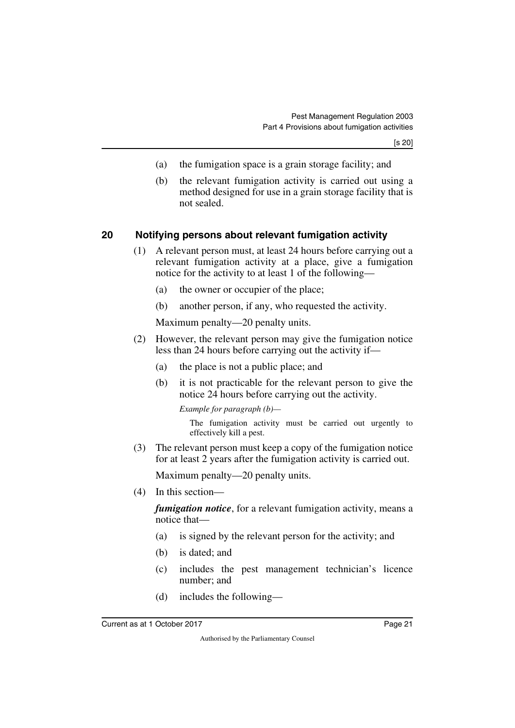- (a) the fumigation space is a grain storage facility; and
- (b) the relevant fumigation activity is carried out using a method designed for use in a grain storage facility that is not sealed.

### <span id="page-22-0"></span>**20 Notifying persons about relevant fumigation activity**

- <span id="page-22-1"></span>(1) A relevant person must, at least 24 hours before carrying out a relevant fumigation activity at a place, give a fumigation notice for the activity to at least 1 of the following—
	- (a) the owner or occupier of the place;
	- (b) another person, if any, who requested the activity.

Maximum penalty—20 penalty units.

- (2) However, the relevant person may give the fumigation notice less than 24 hours before carrying out the activity if—
	- (a) the place is not a public place; and
	- (b) it is not practicable for the relevant person to give the notice 24 hours before carrying out the activity.

*Example for paragraph (b)—*

The fumigation activity must be carried out urgently to effectively kill a pest.

(3) The relevant person must keep a copy of the fumigation notice for at least 2 years after the fumigation activity is carried out.

Maximum penalty—20 penalty units.

(4) In this section—

*fumigation notice*, for a relevant fumigation activity, means a notice that—

- (a) is signed by the relevant person for the activity; and
- (b) is dated; and
- (c) includes the pest management technician's licence number; and
- (d) includes the following—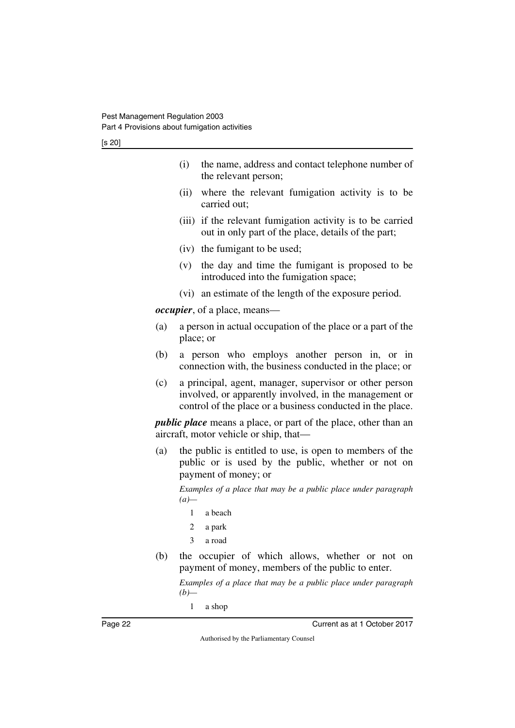[s 20]

|     | (i)<br>the name, address and contact telephone number of<br>the relevant person;                                                                                                |  |  |
|-----|---------------------------------------------------------------------------------------------------------------------------------------------------------------------------------|--|--|
|     | (ii)<br>where the relevant fumigation activity is to be<br>carried out;                                                                                                         |  |  |
|     | (iii) if the relevant fumigation activity is to be carried<br>out in only part of the place, details of the part;                                                               |  |  |
|     | (iv) the fumigant to be used;                                                                                                                                                   |  |  |
|     | the day and time the fumigant is proposed to be<br>(v)<br>introduced into the fumigation space;                                                                                 |  |  |
|     | (vi) an estimate of the length of the exposure period.                                                                                                                          |  |  |
|     | <i>occupier</i> , of a place, means—                                                                                                                                            |  |  |
| (a) | a person in actual occupation of the place or a part of the<br>place; or                                                                                                        |  |  |
| (b) | a person who employs another person in, or in<br>connection with, the business conducted in the place; or                                                                       |  |  |
| (c) | a principal, agent, manager, supervisor or other person<br>involved, or apparently involved, in the management or<br>control of the place or a business conducted in the place. |  |  |
|     | <i>public place</i> means a place, or part of the place, other than an<br>aircraft, motor vehicle or ship, that—                                                                |  |  |
| (a) | the public is entitled to use, is open to members of the<br>public or is used by the public, whether or not on<br>payment of money; or                                          |  |  |
|     | Examples of a place that may be a public place under paragraph<br>$(a)$ —                                                                                                       |  |  |
|     | a beach<br>1                                                                                                                                                                    |  |  |
|     | 2<br>a park                                                                                                                                                                     |  |  |
|     | 3<br>a road                                                                                                                                                                     |  |  |
| (b) | occupier of which allows, whether or not<br>the<br>on<br>payment of money, members of the public to enter.                                                                      |  |  |

*Examples of a place that may be a public place under paragraph (b)—*

1 a shop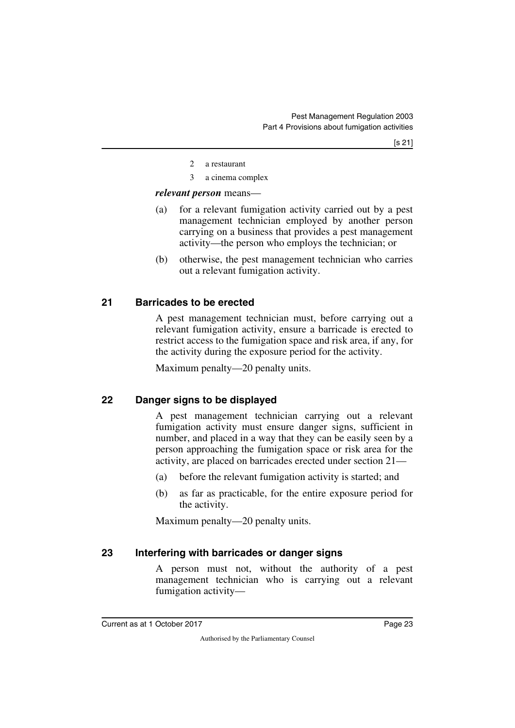- 2 a restaurant
- 3 a cinema complex

#### *relevant person* means—

- (a) for a relevant fumigation activity carried out by a pest management technician employed by another person carrying on a business that provides a pest management activity—the person who employs the technician; or
- (b) otherwise, the pest management technician who carries out a relevant fumigation activity.

## <span id="page-24-0"></span>**21 Barricades to be erected**

<span id="page-24-1"></span>A pest management technician must, before carrying out a relevant fumigation activity, ensure a barricade is erected to restrict access to the fumigation space and risk area, if any, for the activity during the exposure period for the activity.

<span id="page-24-3"></span>Maximum penalty—20 penalty units.

## <span id="page-24-2"></span>**22 Danger signs to be displayed**

A pest management technician carrying out a relevant fumigation activity must ensure danger signs, sufficient in number, and placed in a way that they can be easily seen by a person approaching the fumigation space or risk area for the activity, are placed on barricades erected under section 21—

- (a) before the relevant fumigation activity is started; and
- (b) as far as practicable, for the entire exposure period for the activity.

<span id="page-24-5"></span>Maximum penalty—20 penalty units.

## <span id="page-24-4"></span>**23 Interfering with barricades or danger signs**

A person must not, without the authority of a pest management technician who is carrying out a relevant fumigation activity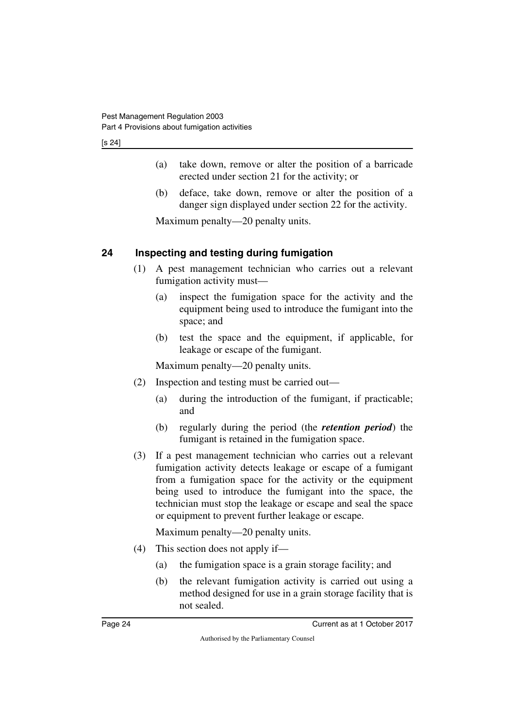[s 24]

- (a) take down, remove or alter the position of a barricade erected under section 21 for the activity; or
- (b) deface, take down, remove or alter the position of a danger sign displayed under section 22 for the activity.

Maximum penalty—20 penalty units.

## <span id="page-25-0"></span>**24 Inspecting and testing during fumigation**

- <span id="page-25-1"></span>(1) A pest management technician who carries out a relevant fumigation activity must—
	- (a) inspect the fumigation space for the activity and the equipment being used to introduce the fumigant into the space; and
	- (b) test the space and the equipment, if applicable, for leakage or escape of the fumigant.

Maximum penalty—20 penalty units.

- (2) Inspection and testing must be carried out—
	- (a) during the introduction of the fumigant, if practicable; and
	- (b) regularly during the period (the *retention period*) the fumigant is retained in the fumigation space.
- (3) If a pest management technician who carries out a relevant fumigation activity detects leakage or escape of a fumigant from a fumigation space for the activity or the equipment being used to introduce the fumigant into the space, the technician must stop the leakage or escape and seal the space or equipment to prevent further leakage or escape.

Maximum penalty—20 penalty units.

- (4) This section does not apply if—
	- (a) the fumigation space is a grain storage facility; and
	- (b) the relevant fumigation activity is carried out using a method designed for use in a grain storage facility that is not sealed.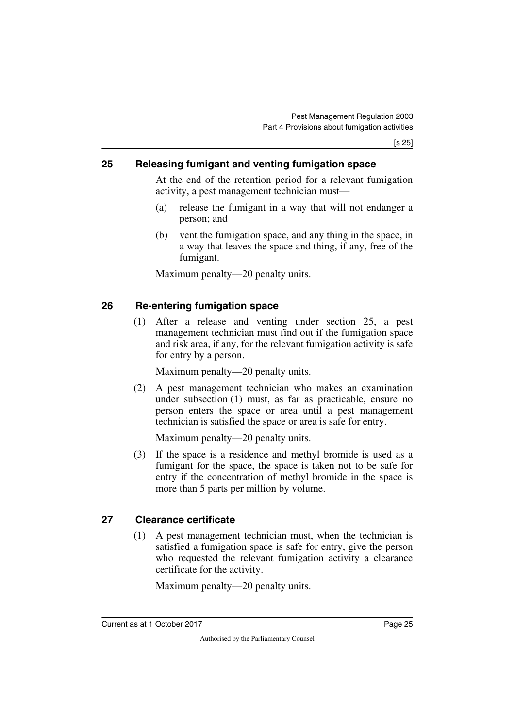## <span id="page-26-0"></span>**25 Releasing fumigant and venting fumigation space**

<span id="page-26-1"></span>At the end of the retention period for a relevant fumigation activity, a pest management technician must—

- (a) release the fumigant in a way that will not endanger a person; and
- (b) vent the fumigation space, and any thing in the space, in a way that leaves the space and thing, if any, free of the fumigant.

Maximum penalty—20 penalty units.

## <span id="page-26-2"></span>**26 Re-entering fumigation space**

<span id="page-26-3"></span>(1) After a release and venting under section 25, a pest management technician must find out if the fumigation space and risk area, if any, for the relevant fumigation activity is safe for entry by a person.

Maximum penalty—20 penalty units.

(2) A pest management technician who makes an examination under subsection (1) must, as far as practicable, ensure no person enters the space or area until a pest management technician is satisfied the space or area is safe for entry.

Maximum penalty—20 penalty units.

(3) If the space is a residence and methyl bromide is used as a fumigant for the space, the space is taken not to be safe for entry if the concentration of methyl bromide in the space is more than 5 parts per million by volume.

## <span id="page-26-4"></span>**27 Clearance certificate**

<span id="page-26-5"></span>(1) A pest management technician must, when the technician is satisfied a fumigation space is safe for entry, give the person who requested the relevant fumigation activity a clearance certificate for the activity.

Maximum penalty—20 penalty units.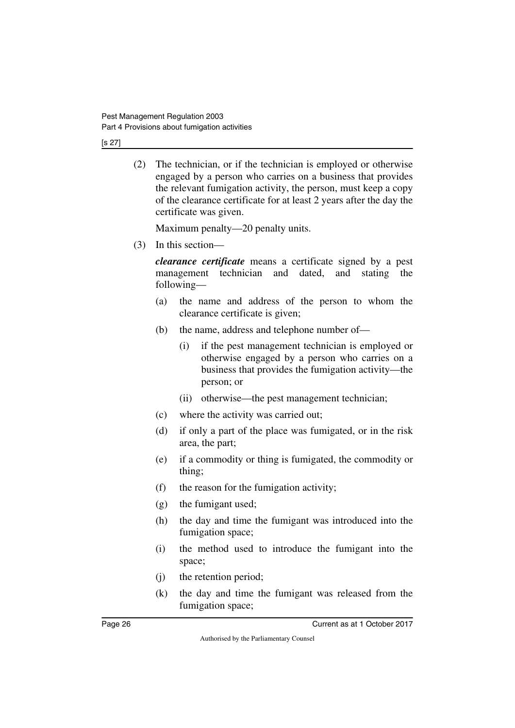[s 27]

(2) The technician, or if the technician is employed or otherwise engaged by a person who carries on a business that provides the relevant fumigation activity, the person, must keep a copy of the clearance certificate for at least 2 years after the day the certificate was given.

Maximum penalty—20 penalty units.

(3) In this section—

*clearance certificate* means a certificate signed by a pest management technician and dated, and stating the following—

- (a) the name and address of the person to whom the clearance certificate is given;
- (b) the name, address and telephone number of—
	- (i) if the pest management technician is employed or otherwise engaged by a person who carries on a business that provides the fumigation activity—the person; or
	- (ii) otherwise—the pest management technician;
- (c) where the activity was carried out;
- (d) if only a part of the place was fumigated, or in the risk area, the part;
- (e) if a commodity or thing is fumigated, the commodity or thing;
- (f) the reason for the fumigation activity;
- (g) the fumigant used;
- (h) the day and time the fumigant was introduced into the fumigation space;
- (i) the method used to introduce the fumigant into the space;
- (j) the retention period;
- (k) the day and time the fumigant was released from the fumigation space;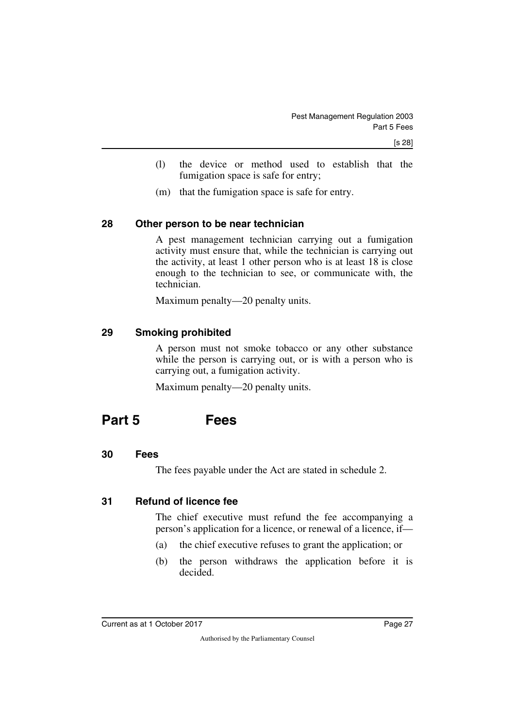- (l) the device or method used to establish that the fumigation space is safe for entry;
- <span id="page-28-1"></span>(m) that the fumigation space is safe for entry.

### <span id="page-28-0"></span>**28 Other person to be near technician**

A pest management technician carrying out a fumigation activity must ensure that, while the technician is carrying out the activity, at least 1 other person who is at least 18 is close enough to the technician to see, or communicate with, the technician.

<span id="page-28-3"></span>Maximum penalty—20 penalty units.

### <span id="page-28-2"></span>**29 Smoking prohibited**

A person must not smoke tobacco or any other substance while the person is carrying out, or is with a person who is carrying out, a fumigation activity.

<span id="page-28-5"></span>Maximum penalty—20 penalty units.

## <span id="page-28-4"></span>**Part 5 Fees**

#### <span id="page-28-6"></span>**30 Fees**

<span id="page-28-9"></span><span id="page-28-7"></span>The fees payable under the Act are stated in schedule 2.

### <span id="page-28-8"></span>**31 Refund of licence fee**

The chief executive must refund the fee accompanying a person's application for a licence, or renewal of a licence, if—

- (a) the chief executive refuses to grant the application; or
- (b) the person withdraws the application before it is decided.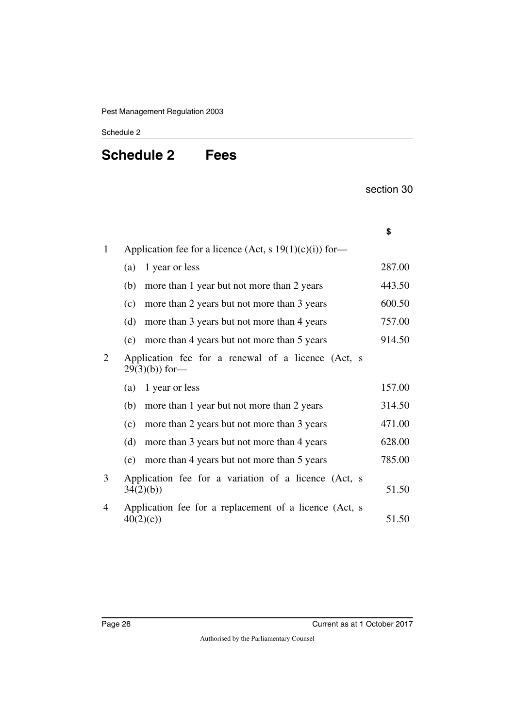### <span id="page-29-1"></span><span id="page-29-0"></span>Schedule 2

## **Schedule 2 Fees**

section 30

|              |                                                                       | \$     |
|--------------|-----------------------------------------------------------------------|--------|
| $\mathbf{1}$ | Application fee for a licence (Act, s $19(1)(c)(i)$ ) for-            |        |
|              | 1 year or less<br>(a)                                                 | 287.00 |
|              | (b)<br>more than 1 year but not more than 2 years                     | 443.50 |
|              | more than 2 years but not more than 3 years<br>(c)                    | 600.50 |
|              | (d)<br>more than 3 years but not more than 4 years                    | 757.00 |
|              | more than 4 years but not more than 5 years<br>(e)                    | 914.50 |
| 2            | Application fee for a renewal of a licence (Act, s<br>$29(3)(b)$ for- |        |
|              | 1 year or less<br>(a)                                                 | 157.00 |
|              | more than 1 year but not more than 2 years<br>(b)                     | 314.50 |
|              | more than 2 years but not more than 3 years<br>(c)                    | 471.00 |
|              | (d)<br>more than 3 years but not more than 4 years                    | 628.00 |
|              | more than 4 years but not more than 5 years<br>(e)                    | 785.00 |
| 3            | Application fee for a variation of a licence (Act, s<br>34(2)(b)      | 51.50  |
| 4            | Application fee for a replacement of a licence (Act, s<br>40(2)(c)    | 51.50  |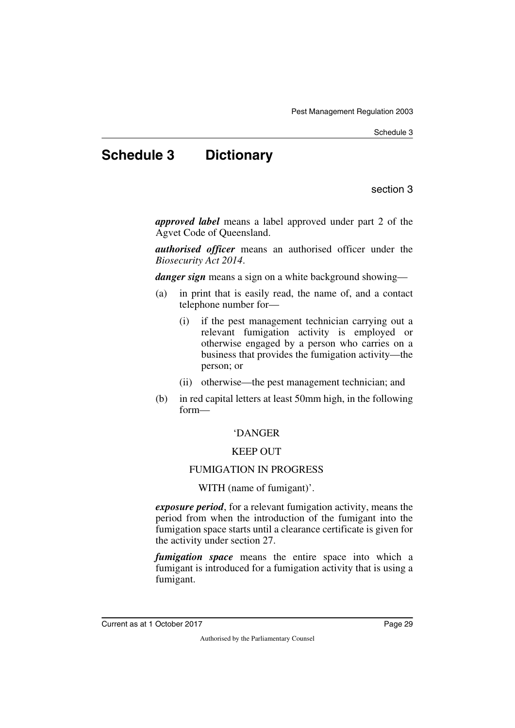Schedule 3

## <span id="page-30-0"></span>**Schedule 3 Dictionary**

section 3

<span id="page-30-1"></span>*approved label* means a label approved under part 2 of the Agvet Code of Queensland.

*authorised officer* means an authorised officer under the *Biosecurity Act 2014*.

*danger sign* means a sign on a white background showing—

- (a) in print that is easily read, the name of, and a contact telephone number for—
	- (i) if the pest management technician carrying out a relevant fumigation activity is employed or otherwise engaged by a person who carries on a business that provides the fumigation activity—the person; or
	- (ii) otherwise—the pest management technician; and
- (b) in red capital letters at least 50mm high, in the following form—

## 'DANGER

## KEEP OUT

## FUMIGATION IN PROGRESS

WITH (name of fumigant)'.

*exposure period*, for a relevant fumigation activity, means the period from when the introduction of the fumigant into the fumigation space starts until a clearance certificate is given for the activity under section 27.

*fumigation space* means the entire space into which a fumigant is introduced for a fumigation activity that is using a fumigant.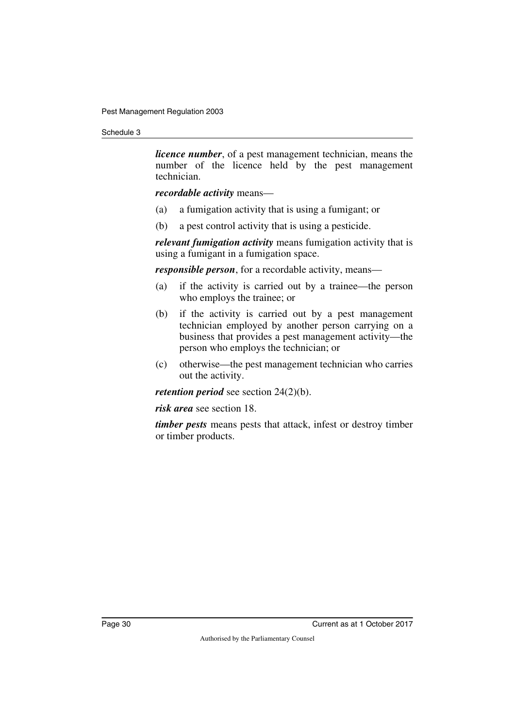#### Schedule 3

*licence number*, of a pest management technician, means the number of the licence held by the pest management technician.

#### *recordable activity* means—

- (a) a fumigation activity that is using a fumigant; or
- (b) a pest control activity that is using a pesticide.

*relevant fumigation activity* means fumigation activity that is using a fumigant in a fumigation space.

*responsible person*, for a recordable activity, means—

- (a) if the activity is carried out by a trainee—the person who employs the trainee; or
- (b) if the activity is carried out by a pest management technician employed by another person carrying on a business that provides a pest management activity—the person who employs the technician; or
- (c) otherwise—the pest management technician who carries out the activity.

*retention period* see section 24(2)(b).

*risk area* see section 18.

*timber pests* means pests that attack, infest or destroy timber or timber products.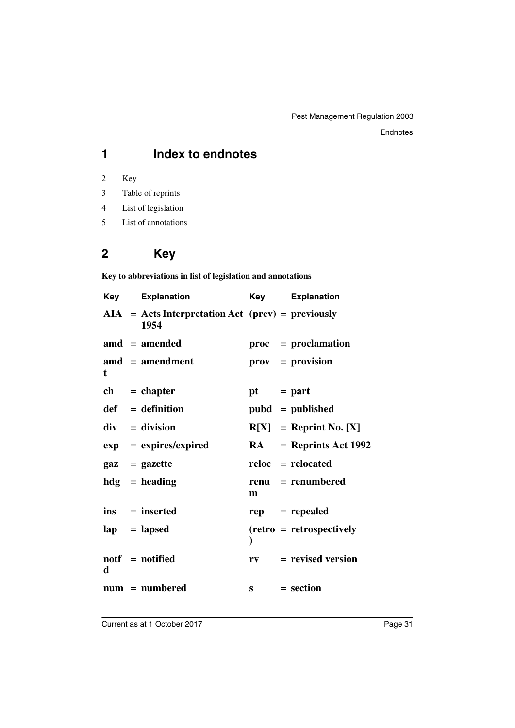## **1 Index to endnotes**

2 Key

- 3 Table of reprints
- 4 List of legislation
- 5 List of annotations

## **2 Key**

**Key to abbreviations in list of legislation and annotations**

| Key | <b>Explanation</b>                                          | Key         | <b>Explanation</b>              |
|-----|-------------------------------------------------------------|-------------|---------------------------------|
|     | $AIA = Acts Interpretation Act (prev) = previously$<br>1954 |             |                                 |
|     | $\text{and} = \text{amended}$                               |             | proc = proclamation             |
| t   | $\mathbf{a} \mathbf{m} \mathbf{d}$ = amendment              |             | $\mathbf{prox} = \mathbf{prox}$ |
|     | $ch = chapter$                                              | $pt = part$ |                                 |
|     | $def = definition$                                          |             | $pubd = published$              |
|     | $div = division$                                            |             | $R[X] =$ Reprint No. [X]        |
|     | $exp = expires/expired$                                     | <b>RA</b>   | $=$ Reprints Act 1992           |
|     | $\mathbf{gaz} = \mathbf{gazette}$                           |             | $reloc =$ relocated             |
|     | $hdg =$ heading                                             | m           | $renu = renumbered$             |
|     | $ins = inserted$                                            |             | $rep = rep\text{ }$             |
|     | $\mathbf{lap} = \mathbf{lapsed}$                            |             | $(retro = retrospectively)$     |
| d   | notf = notified                                             |             | $rv = revised version$          |
|     | $num = numbered$                                            |             | $s = section$                   |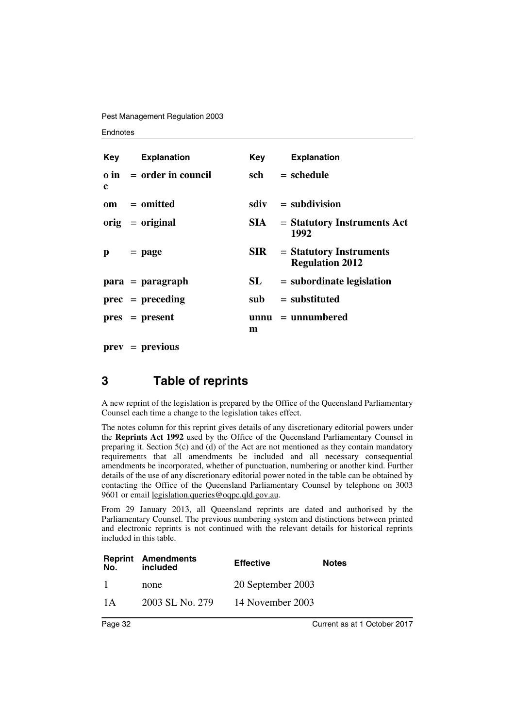Pest Management Regulation 2003

#### **Endnotes**

|            | <b>Key</b> Explanation         |            | <b>Key</b> Explanation                              |
|------------|--------------------------------|------------|-----------------------------------------------------|
| c          | $\theta$ in = order in council | sch        | $=$ schedule                                        |
|            | $om = omitted$                 |            | $sdiv = subdivision$                                |
|            | $orig = original$              | SIA –      | $=$ Statutory Instruments Act<br>1992               |
| $p = page$ |                                | <b>SIR</b> | $=$ Statutory Instruments<br><b>Regulation 2012</b> |
|            | $para = paragraph$             | SL         | $=$ subordinate legislation                         |
|            | $prec = preceding$             |            | $sub =$ substituted                                 |
|            | $pres = present$               | m          | $unnu = unnumbered$                                 |

**prev** = **previous**

## **3 Table of reprints**

A new reprint of the legislation is prepared by the Office of the Queensland Parliamentary Counsel each time a change to the legislation takes effect.

The notes column for this reprint gives details of any discretionary editorial powers under the **Reprints Act 1992** used by the Office of the Queensland Parliamentary Counsel in preparing it. Section  $5(c)$  and (d) of the Act are not mentioned as they contain mandatory requirements that all amendments be included and all necessary consequential amendments be incorporated, whether of punctuation, numbering or another kind. Further details of the use of any discretionary editorial power noted in the table can be obtained by contacting the Office of the Queensland Parliamentary Counsel by telephone on 3003 9601 or email legislation.queries@oqpc.qld.gov.au.

From 29 January 2013, all Queensland reprints are dated and authorised by the Parliamentary Counsel. The previous numbering system and distinctions between printed and electronic reprints is not continued with the relevant details for historical reprints included in this table.

| No. | <b>Reprint Amendments</b><br>included | <b>Effective</b>  | <b>Notes</b> |
|-----|---------------------------------------|-------------------|--------------|
| -1  | none                                  | 20 September 2003 |              |
| 1 A | 2003 SL No. 279                       | 14 November 2003  |              |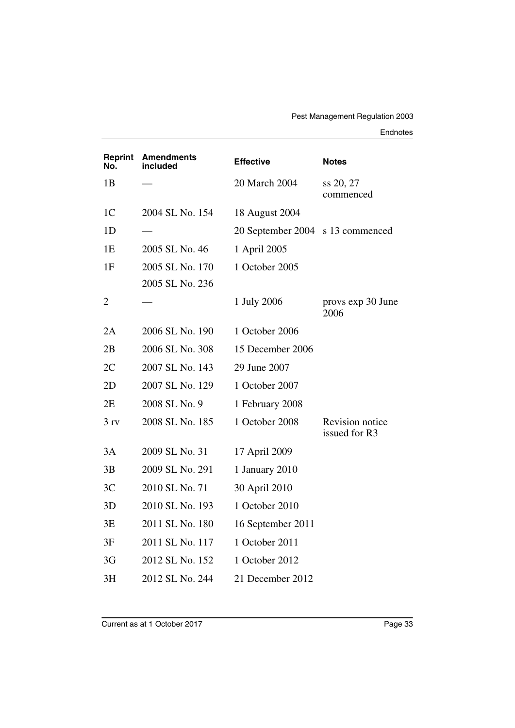#### Endnotes

| Reprint<br>No.  | <b>Amendments</b><br>included | <b>Effective</b>                 | <b>Notes</b>                     |
|-----------------|-------------------------------|----------------------------------|----------------------------------|
| 1B              |                               | 20 March 2004                    | ss 20, 27<br>commenced           |
| 1 <sup>C</sup>  | 2004 SL No. 154               | 18 August 2004                   |                                  |
| 1D              |                               | 20 September 2004 s 13 commenced |                                  |
| 1E              | 2005 SL No. 46                | 1 April 2005                     |                                  |
| 1F              | 2005 SL No. 170               | 1 October 2005                   |                                  |
|                 | 2005 SL No. 236               |                                  |                                  |
| $\overline{2}$  |                               | 1 July 2006                      | provs exp 30 June<br>2006        |
| 2A              | 2006 SL No. 190               | 1 October 2006                   |                                  |
| 2B              | 2006 SL No. 308               | 15 December 2006                 |                                  |
| 2C              | 2007 SL No. 143               | 29 June 2007                     |                                  |
| 2D              | 2007 SL No. 129               | 1 October 2007                   |                                  |
| 2E              | 2008 SL No. 9                 | 1 February 2008                  |                                  |
| 3 <sub>rv</sub> | 2008 SL No. 185               | 1 October 2008                   | Revision notice<br>issued for R3 |
| 3A              | 2009 SL No. 31                | 17 April 2009                    |                                  |
| 3B              | 2009 SL No. 291               | 1 January 2010                   |                                  |
| 3C              | 2010 SL No. 71                | 30 April 2010                    |                                  |
| 3D              | 2010 SL No. 193               | 1 October 2010                   |                                  |
| 3E              | 2011 SL No. 180               | 16 September 2011                |                                  |
| 3F              | 2011 SL No. 117               | 1 October 2011                   |                                  |
| 3G              | 2012 SL No. 152               | 1 October 2012                   |                                  |
| 3H              | 2012 SL No. 244               | 21 December 2012                 |                                  |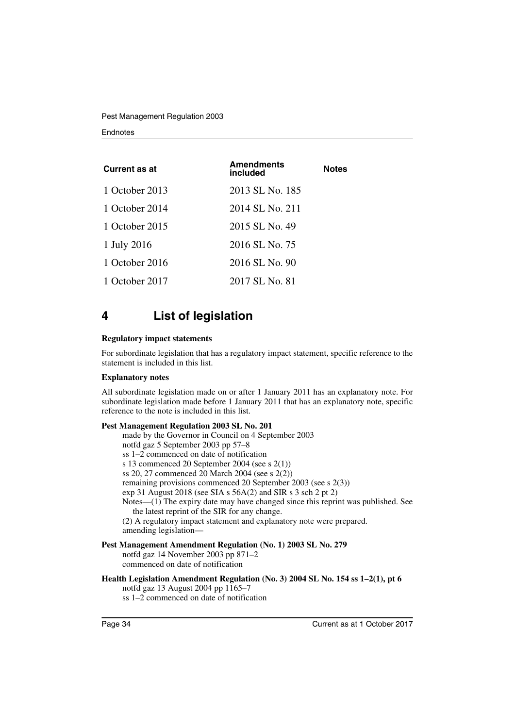Pest Management Regulation 2003

#### **Endnotes**

| <b>Current as at</b> | <b>Amendments</b><br><b>Notes</b><br>included |  |  |
|----------------------|-----------------------------------------------|--|--|
| 1 October 2013       | 2013 SL No. 185                               |  |  |
| 1 October 2014       | 2014 SL No. 211                               |  |  |
| 1 October 2015       | 2015 SL No. 49                                |  |  |
| 1 July 2016          | 2016 SL No. 75                                |  |  |
| 1 October 2016       | 2016 SL No. 90                                |  |  |
| 1 October 2017       | 2017 SL No. 81                                |  |  |

## **4 List of legislation**

#### **Regulatory impact statements**

For subordinate legislation that has a regulatory impact statement, specific reference to the statement is included in this list.

#### **Explanatory notes**

All subordinate legislation made on or after 1 January 2011 has an explanatory note. For subordinate legislation made before 1 January 2011 that has an explanatory note, specific reference to the note is included in this list.

#### **Pest Management Regulation 2003 SL No. 201**

made by the Governor in Council on 4 September 2003 notfd gaz 5 September 2003 pp 57–8 ss 1–2 commenced on date of notification s 13 commenced 20 September 2004 (see s 2(1)) ss 20, 27 commenced 20 March 2004 (see s 2(2)) remaining provisions commenced 20 September 2003 (see s 2(3)) exp 31 August 2018 (see SIA s 56A(2) and SIR s 3 sch 2 pt 2) Notes—(1) The expiry date may have changed since this reprint was published. See the latest reprint of the SIR for any change. (2) A regulatory impact statement and explanatory note were prepared. amending legislation—

#### **Pest Management Amendment Regulation (No. 1) 2003 SL No. 279**

notfd gaz 14 November 2003 pp 871–2 commenced on date of notification

#### **Health Legislation Amendment Regulation (No. 3) 2004 SL No. 154 ss 1–2(1), pt 6** notfd gaz 13 August 2004 pp 1165–7

ss 1–2 commenced on date of notification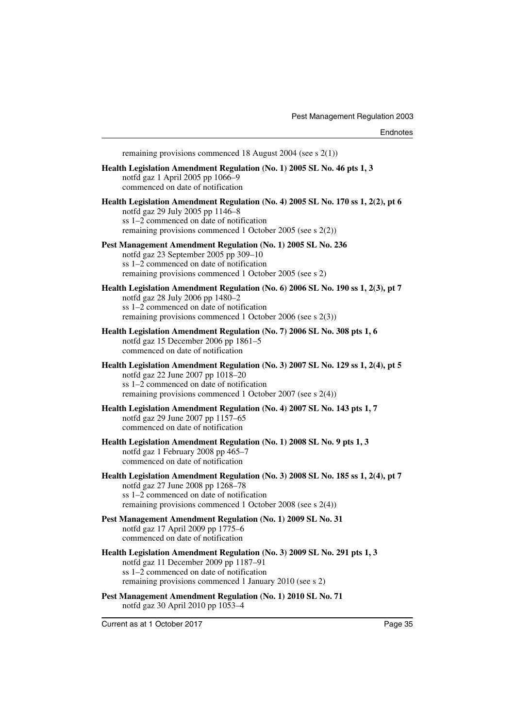Current as at 1 October 2017 **Page 35** remaining provisions commenced 18 August 2004 (see s 2(1)) **Health Legislation Amendment Regulation (No. 1) 2005 SL No. 46 pts 1, 3** notfd gaz 1 April 2005 pp 1066–9 commenced on date of notification **Health Legislation Amendment Regulation (No. 4) 2005 SL No. 170 ss 1, 2(2), pt 6** notfd gaz 29 July 2005 pp 1146–8 ss 1–2 commenced on date of notification remaining provisions commenced 1 October 2005 (see s 2(2)) **Pest Management Amendment Regulation (No. 1) 2005 SL No. 236** notfd gaz 23 September 2005 pp 309–10 ss 1–2 commenced on date of notification remaining provisions commenced 1 October 2005 (see s 2) **Health Legislation Amendment Regulation (No. 6) 2006 SL No. 190 ss 1, 2(3), pt 7** notfd gaz 28 July 2006 pp 1480–2 ss 1–2 commenced on date of notification remaining provisions commenced 1 October 2006 (see s 2(3)) **Health Legislation Amendment Regulation (No. 7) 2006 SL No. 308 pts 1, 6** notfd gaz 15 December 2006 pp 1861–5 commenced on date of notification **Health Legislation Amendment Regulation (No. 3) 2007 SL No. 129 ss 1, 2(4), pt 5** notfd gaz 22 June 2007 pp 1018–20 ss 1–2 commenced on date of notification remaining provisions commenced 1 October 2007 (see s 2(4)) **Health Legislation Amendment Regulation (No. 4) 2007 SL No. 143 pts 1, 7** notfd gaz 29 June 2007 pp 1157–65 commenced on date of notification **Health Legislation Amendment Regulation (No. 1) 2008 SL No. 9 pts 1, 3** notfd gaz 1 February 2008 pp 465–7 commenced on date of notification **Health Legislation Amendment Regulation (No. 3) 2008 SL No. 185 ss 1, 2(4), pt 7** notfd gaz 27 June 2008 pp 1268–78 ss 1–2 commenced on date of notification remaining provisions commenced 1 October 2008 (see s 2(4)) **Pest Management Amendment Regulation (No. 1) 2009 SL No. 31** notfd gaz 17 April 2009 pp 1775–6 commenced on date of notification **Health Legislation Amendment Regulation (No. 3) 2009 SL No. 291 pts 1, 3** notfd gaz 11 December 2009 pp 1187–91 ss 1–2 commenced on date of notification remaining provisions commenced 1 January 2010 (see s 2) **Pest Management Amendment Regulation (No. 1) 2010 SL No. 71** notfd gaz 30 April 2010 pp 1053–4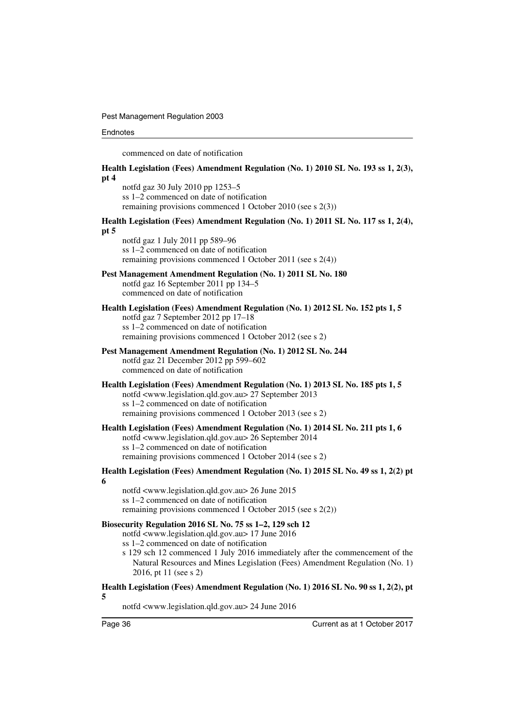Pest Management Regulation 2003

#### **Endnotes**

commenced on date of notification

**Health Legislation (Fees) Amendment Regulation (No. 1) 2010 SL No. 193 ss 1, 2(3), pt 4**

notfd gaz 30 July 2010 pp 1253–5 ss 1–2 commenced on date of notification remaining provisions commenced 1 October 2010 (see s 2(3))

#### **Health Legislation (Fees) Amendment Regulation (No. 1) 2011 SL No. 117 ss 1, 2(4), pt 5**

notfd gaz 1 July 2011 pp 589–96 ss 1–2 commenced on date of notification remaining provisions commenced 1 October 2011 (see s 2(4))

## **Pest Management Amendment Regulation (No. 1) 2011 SL No. 180**

notfd gaz 16 September 2011 pp 134–5 commenced on date of notification

#### **Health Legislation (Fees) Amendment Regulation (No. 1) 2012 SL No. 152 pts 1, 5** notfd gaz 7 September 2012 pp 17–18 ss 1–2 commenced on date of notification remaining provisions commenced 1 October 2012 (see s 2)

#### **Pest Management Amendment Regulation (No. 1) 2012 SL No. 244** notfd gaz 21 December 2012 pp 599–602 commenced on date of notification

#### **Health Legislation (Fees) Amendment Regulation (No. 1) 2013 SL No. 185 pts 1, 5** notfd <www.legislation.qld.gov.au> 27 September 2013 ss 1–2 commenced on date of notification remaining provisions commenced 1 October 2013 (see s 2)

#### **Health Legislation (Fees) Amendment Regulation (No. 1) 2014 SL No. 211 pts 1, 6** notfd <www.legislation.qld.gov.au> 26 September 2014 ss 1–2 commenced on date of notification remaining provisions commenced 1 October 2014 (see s 2)

#### **Health Legislation (Fees) Amendment Regulation (No. 1) 2015 SL No. 49 ss 1, 2(2) pt 6**

notfd <www.legislation.qld.gov.au> 26 June 2015 ss 1–2 commenced on date of notification remaining provisions commenced 1 October 2015 (see s 2(2))

#### **Biosecurity Regulation 2016 SL No. 75 ss 1–2, 129 sch 12**

notfd <www.legislation.qld.gov.au> 17 June 2016 ss 1–2 commenced on date of notification

s 129 sch 12 commenced 1 July 2016 immediately after the commencement of the Natural Resources and Mines Legislation (Fees) Amendment Regulation (No. 1) 2016, pt 11 (see s 2)

#### **Health Legislation (Fees) Amendment Regulation (No. 1) 2016 SL No. 90 ss 1, 2(2), pt 5**

notfd <www.legislation.qld.gov.au> 24 June 2016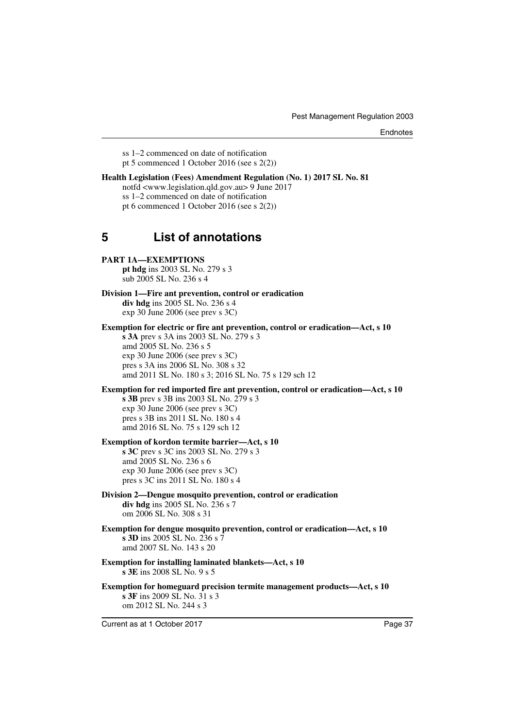**Endnotes** 

ss 1–2 commenced on date of notification pt 5 commenced 1 October 2016 (see s 2(2))

#### **Health Legislation (Fees) Amendment Regulation (No. 1) 2017 SL No. 81** notfd <www.legislation.qld.gov.au> 9 June 2017 ss 1–2 commenced on date of notification pt 6 commenced 1 October 2016 (see s 2(2))

## **5 List of annotations**

#### **PART 1A—EXEMPTIONS**

**pt hdg** ins 2003 SL No. 279 s 3 sub 2005 SL No. 236 s 4

**Division 1—Fire ant prevention, control or eradication div hdg** ins 2005 SL No. 236 s 4 exp 30 June 2006 (see prev s 3C)

**Exemption for electric or fire ant prevention, control or eradication—Act, s 10**

**s 3A** prev s 3A ins 2003 SL No. 279 s 3 amd 2005 SL No. 236 s 5 exp 30 June 2006 (see prev s 3C) pres s 3A ins 2006 SL No. 308 s 32 amd 2011 SL No. 180 s 3; 2016 SL No. 75 s 129 sch 12

#### **Exemption for red imported fire ant prevention, control or eradication—Act, s 10**

**s 3B** prev s 3B ins 2003 SL No. 279 s 3 exp 30 June 2006 (see prev s 3C) pres s 3B ins 2011 SL No. 180 s 4 amd 2016 SL No. 75 s 129 sch 12

#### **Exemption of kordon termite barrier—Act, s 10**

**s 3C** prev s 3C ins 2003 SL No. 279 s 3 amd 2005 SL No. 236 s 6 exp 30 June 2006 (see prev s 3C) pres s 3C ins 2011 SL No. 180 s 4

#### **Division 2—Dengue mosquito prevention, control or eradication div hdg** ins 2005 SL No. 236 s 7

om 2006 SL No. 308 s 31

**Exemption for dengue mosquito prevention, control or eradication—Act, s 10 s 3D** ins 2005 SL No. 236 s 7 amd 2007 SL No. 143 s 20

**Exemption for installing laminated blankets—Act, s 10 s 3E** ins 2008 SL No. 9 s 5

**Exemption for homeguard precision termite management products—Act, s 10 s 3F** ins 2009 SL No. 31 s 3 om 2012 SL No. 244 s 3